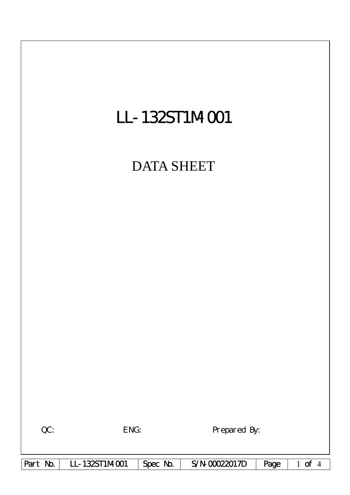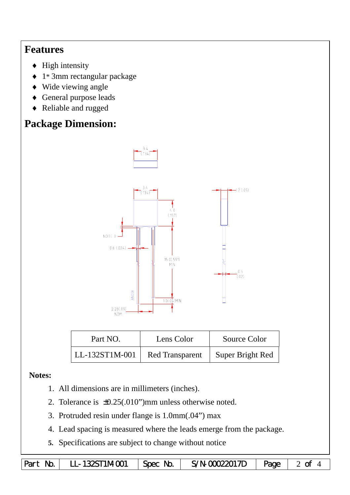## **Features**

- $\blacklozenge$  High intensity
- ♦ 1\* 3mm rectangular package
- ♦ Wide viewing angle
- ♦ General purpose leads
- ♦ Reliable and rugged

# **Package Dimension:**



| Part NO.       | Lens Color             | Source Color     |  |
|----------------|------------------------|------------------|--|
| LL-132ST1M-001 | <b>Red Transparent</b> | Super Bright Red |  |

### **Notes:**

- 1. All dimensions are in millimeters (inches).
- 2. Tolerance is  $\pm 0.25(.010")$  mm unless otherwise noted.
- 3. Protruded resin under flange is 1.0mm(.04") max
- 4. Lead spacing is measured where the leads emerge from the package.
- **5.** Specifications are subject to change without notice

Part No. LL-132ST1M-001 Spec No. S/N-00022017D  $\vert$  Page  $\vert$  2 of 4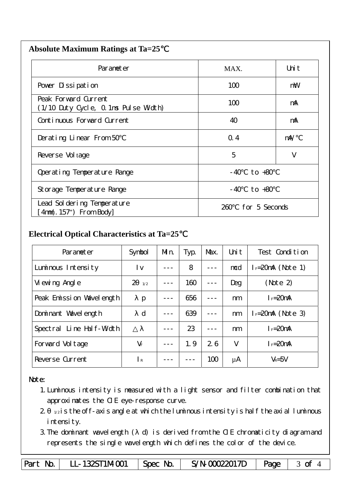| <b>Absolute Maximum Ratings at Ta=25</b> |  |
|------------------------------------------|--|
|                                          |  |

| Parameter                                                    | MAX.           | Uni t          |  |  |
|--------------------------------------------------------------|----------------|----------------|--|--|
| Pover Dissipation                                            | 100            | mW             |  |  |
| Peak Forward Current<br>(1/10 Duty Cycle, 0.1ms Pulse Width) | 100            | mA             |  |  |
| Continuous Forward Current                                   | 40             | mA             |  |  |
| Derating Linear From 50                                      | Q.4            | $m\mathcal{N}$ |  |  |
| Reverse Vol tage                                             | 5              | V              |  |  |
| Operating Temperature Range                                  | to +80<br>- 40 |                |  |  |
| Storage Temperature Range                                    | $-40$ to $+80$ |                |  |  |
| Lead Sol dering Temperature<br>$4mm(.157")$ From Body        | 260.           | for 5 Seconds  |  |  |

#### **Electrical Optical Characteristics at Ta=25**℃

| Parameter                   | Symbol               | Mn. | Typ. | Max. | Uni t  | Test Condition      |
|-----------------------------|----------------------|-----|------|------|--------|---------------------|
| Luminous Intensity          | l v                  |     | 8    |      | mcd    | $I = 20mA$ (Note 1) |
| Vi ewing Angl e             | $\mathcal{P}$<br>1/2 |     | 160  |      | Deg    | (Note 2)            |
| Peak Emission Wavelength    | p                    |     | 656  |      | nm     | $I_F = 20$ mA       |
| Dominant Wavelength         | d                    |     | 639  |      | nm     | $I = 20mA$ (Note 3) |
| Line Half-Width<br>Spectral |                      |     | 23   |      | nm     | $I_F = 20$ mA       |
| Forward Voltage             | $V_F$                |     | 1.9  | 2.6  | $\vee$ | $I_F=20$ mA         |
| Reverse Current             | I R                  |     |      | 100  | μA     | $V_R = 5V$          |

#### Note:

- 1.Luminous intensity is measured with a light sensor and filter combination that approximates the CIE eye-response curve.
- $2 1/2$  is the off-axis angle at which the luminous intensity is half the axial luminous i ntensity.
- 3.The dominant wavelength ( d) is derived from the CIE chromaticity diagram and represents the single wavelength which defines the color of the device.

Part No. LL-132ST1M-001 Spec No. S/N-00022017D  $\vert$  Page  $\vert$  3 of 4